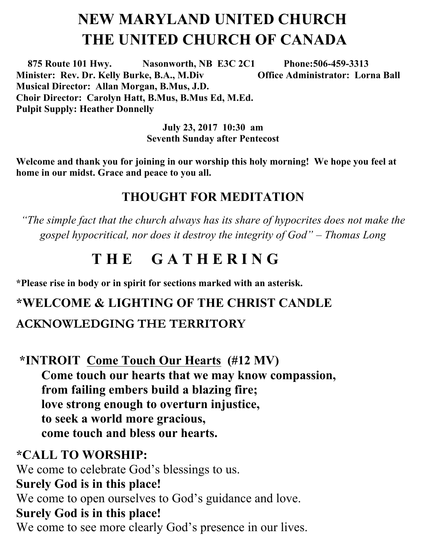# **NEW MARYLAND UNITED CHURCH THE UNITED CHURCH OF CANADA**

 **875 Route 101 Hwy. Nasonworth, NB E3C 2C1 Phone:506-459-3313 Minister: Rev. Dr. Kelly Burke, B.A., M.Div Office Administrator: Lorna Ball Musical Director: Allan Morgan, B.Mus, J.D. Choir Director: Carolyn Hatt, B.Mus, B.Mus Ed, M.Ed. Pulpit Supply: Heather Donnelly** 

> **July 23, 2017 10:30 am Seventh Sunday after Pentecost**

**Welcome and thank you for joining in our worship this holy morning! We hope you feel at home in our midst. Grace and peace to you all.**

#### **THOUGHT FOR MEDITATION**

*"The simple fact that the church always has its share of hypocrites does not make the gospel hypocritical, nor does it destroy the integrity of God" – Thomas Long*

## **T H E G A T H E R I N G**

**\*Please rise in body or in spirit for sections marked with an asterisk.**

#### **\*WELCOME & LIGHTING OF THE CHRIST CANDLE**

#### **ACKNOWLEDGING THE TERRITORY**

**\*INTROIT Come Touch Our Hearts (#12 MV) Come touch our hearts that we may know compassion, from failing embers build a blazing fire; love strong enough to overturn injustice, to seek a world more gracious, come touch and bless our hearts.**

#### **\*CALL TO WORSHIP:**

We come to celebrate God's blessings to us. **Surely God is in this place!**  We come to open ourselves to God's guidance and love. **Surely God is in this place!**  We come to see more clearly God's presence in our lives.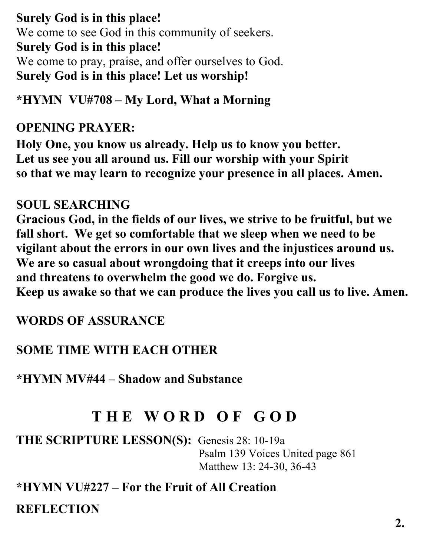**Surely God is in this place!** We come to see God in this community of seekers. **Surely God is in this place!** We come to pray, praise, and offer ourselves to God. **Surely God is in this place! Let us worship!**

#### **\*HYMN VU#708 – My Lord, What a Morning**

#### **OPENING PRAYER:**

**Holy One, you know us already. Help us to know you better. Let us see you all around us. Fill our worship with your Spirit so that we may learn to recognize your presence in all places. Amen.**

#### **SOUL SEARCHING**

**Gracious God, in the fields of our lives, we strive to be fruitful, but we fall short. We get so comfortable that we sleep when we need to be vigilant about the errors in our own lives and the injustices around us. We are so casual about wrongdoing that it creeps into our lives and threatens to overwhelm the good we do. Forgive us. Keep us awake so that we can produce the lives you call us to live. Amen.**

#### **WORDS OF ASSURANCE**

### **SOME TIME WITH EACH OTHER**

**\*HYMN MV#44 – Shadow and Substance**

# **T H E W O R D O F G O D**

**THE SCRIPTURE LESSON(S):** Genesis 28: 10-19a Psalm 139 Voices United page 861 Matthew 13: 24-30, 36-43

**\*HYMN VU#227 – For the Fruit of All Creation REFLECTION**